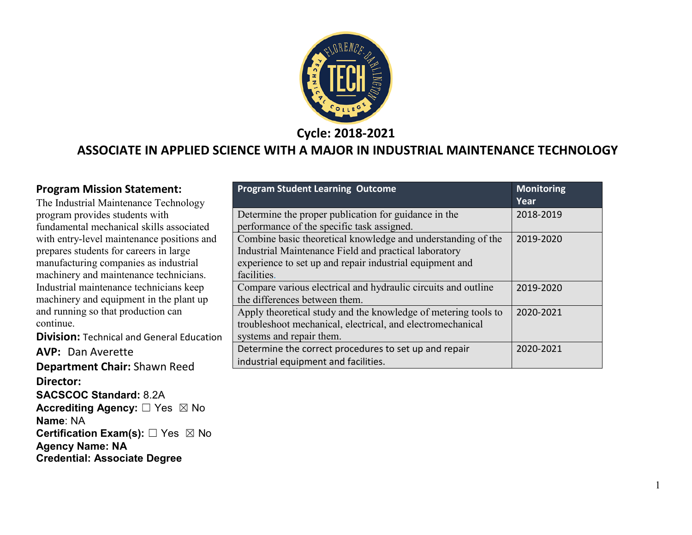

**Cycle: 2018-2021**

#### **ASSOCIATE IN APPLIED SCIENCE WITH A MAJOR IN INDUSTRIAL MAINTENANCE TECHNOLOGY**

#### **Program Mission Statement:**

The Industrial Maintenance Technology program provides students with fundamental mechanical skills associated with entry-level maintenance positions and prepares students for careers in large manufacturing companies as industrial machinery and maintenance technicians. Industrial maintenance technicians keep machinery and equipment in the plant up and running so that production can continue.

**Division: Technical and General Education** 

**AVP: Dan Averette** 

**Department Chair:** Shawn Reed **Director: SACSCOC Standard:** 8.2A **Accrediting Agency:** ☐ Yes ☒ No **Name**: NA **Certification Exam(s):** □ Yes ⊠ No **Agency Name: NA Credential: Associate Degree**

| <b>Program Student Learning Outcome</b>                        | <b>Monitoring</b><br>Year |
|----------------------------------------------------------------|---------------------------|
| Determine the proper publication for guidance in the           | 2018-2019                 |
| performance of the specific task assigned.                     |                           |
| Combine basic theoretical knowledge and understanding of the   | 2019-2020                 |
| Industrial Maintenance Field and practical laboratory          |                           |
| experience to set up and repair industrial equipment and       |                           |
| facilities.                                                    |                           |
| Compare various electrical and hydraulic circuits and outline  | 2019-2020                 |
| the differences between them.                                  |                           |
| Apply theoretical study and the knowledge of metering tools to | 2020-2021                 |
| troubleshoot mechanical, electrical, and electromechanical     |                           |
| systems and repair them.                                       |                           |
| Determine the correct procedures to set up and repair          | 2020-2021                 |
| industrial equipment and facilities.                           |                           |

1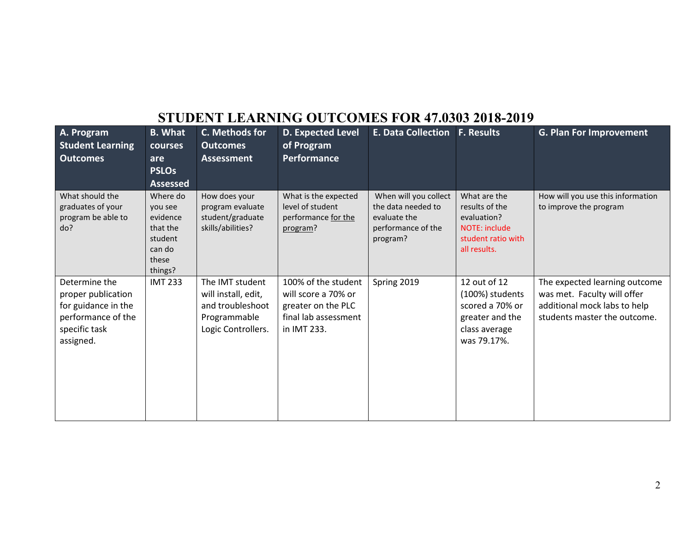## **STUDENT LEARNING OUTCOMES FOR 47.0303 2018-2019**

| A. Program<br><b>Student Learning</b>                                                                          | <b>B.</b> What<br>courses                                                                               | C. Methods for<br><b>Outcomes</b>                                                                | <b>D. Expected Level</b><br>of Program                                                                  | <b>E. Data Collection</b>                                                                     | <b>F. Results</b>                                                                                           | <b>G. Plan For Improvement</b>                                                                                               |
|----------------------------------------------------------------------------------------------------------------|---------------------------------------------------------------------------------------------------------|--------------------------------------------------------------------------------------------------|---------------------------------------------------------------------------------------------------------|-----------------------------------------------------------------------------------------------|-------------------------------------------------------------------------------------------------------------|------------------------------------------------------------------------------------------------------------------------------|
| <b>Outcomes</b>                                                                                                | are                                                                                                     |                                                                                                  | <b>Performance</b>                                                                                      |                                                                                               |                                                                                                             |                                                                                                                              |
|                                                                                                                | <b>PSLOs</b>                                                                                            |                                                                                                  |                                                                                                         |                                                                                               |                                                                                                             |                                                                                                                              |
| What should the<br>graduates of your<br>program be able to<br>do?                                              | <b>Assessed</b><br>Where do<br>you see<br>evidence<br>that the<br>student<br>can do<br>these<br>things? | How does your<br>program evaluate<br>student/graduate<br>skills/abilities?                       | What is the expected<br>level of student<br>performance for the<br>program?                             | When will you collect<br>the data needed to<br>evaluate the<br>performance of the<br>program? | What are the<br>results of the<br>evaluation?<br><b>NOTE: include</b><br>student ratio with<br>all results. | How will you use this information<br>to improve the program                                                                  |
| Determine the<br>proper publication<br>for guidance in the<br>performance of the<br>specific task<br>assigned. | <b>IMT 233</b>                                                                                          | The IMT student<br>will install, edit,<br>and troubleshoot<br>Programmable<br>Logic Controllers. | 100% of the student<br>will score a 70% or<br>greater on the PLC<br>final lab assessment<br>in IMT 233. | Spring 2019                                                                                   | 12 out of 12<br>(100%) students<br>scored a 70% or<br>greater and the<br>class average<br>was 79.17%.       | The expected learning outcome<br>was met. Faculty will offer<br>additional mock labs to help<br>students master the outcome. |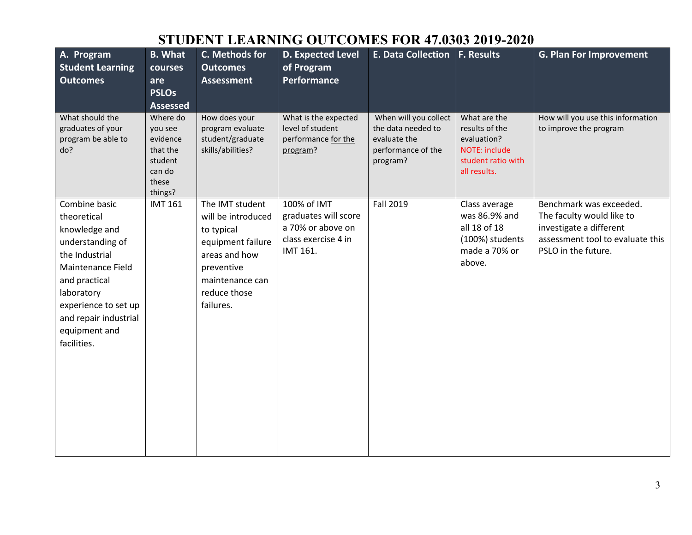## **STUDENT LEARNING OUTCOMES FOR 47.0303 2019-2020**

| A. Program<br><b>Student Learning</b><br><b>Outcomes</b>                                                                                                                                                                 | <b>B.</b> What<br>courses<br>are<br><b>PSLOs</b><br><b>Assessed</b>                  | C. Methods for<br><b>Outcomes</b><br><b>Assessment</b>                                                                                                  | <b>D. Expected Level</b><br>of Program<br><b>Performance</b>                                | <b>E. Data Collection F. Results</b>                                                          |                                                                                                      | <b>G. Plan For Improvement</b>                                                                                                             |
|--------------------------------------------------------------------------------------------------------------------------------------------------------------------------------------------------------------------------|--------------------------------------------------------------------------------------|---------------------------------------------------------------------------------------------------------------------------------------------------------|---------------------------------------------------------------------------------------------|-----------------------------------------------------------------------------------------------|------------------------------------------------------------------------------------------------------|--------------------------------------------------------------------------------------------------------------------------------------------|
| What should the<br>graduates of your<br>program be able to<br>do?                                                                                                                                                        | Where do<br>you see<br>evidence<br>that the<br>student<br>can do<br>these<br>things? | How does your<br>program evaluate<br>student/graduate<br>skills/abilities?                                                                              | What is the expected<br>level of student<br>performance for the<br>program?                 | When will you collect<br>the data needed to<br>evaluate the<br>performance of the<br>program? | What are the<br>results of the<br>evaluation?<br>NOTE: include<br>student ratio with<br>all results. | How will you use this information<br>to improve the program                                                                                |
| Combine basic<br>theoretical<br>knowledge and<br>understanding of<br>the Industrial<br>Maintenance Field<br>and practical<br>laboratory<br>experience to set up<br>and repair industrial<br>equipment and<br>facilities. | <b>IMT 161</b>                                                                       | The IMT student<br>will be introduced<br>to typical<br>equipment failure<br>areas and how<br>preventive<br>maintenance can<br>reduce those<br>failures. | 100% of IMT<br>graduates will score<br>a 70% or above on<br>class exercise 4 in<br>IMT 161. | Fall 2019                                                                                     | Class average<br>was 86.9% and<br>all 18 of 18<br>(100%) students<br>made a 70% or<br>above.         | Benchmark was exceeded.<br>The faculty would like to<br>investigate a different<br>assessment tool to evaluate this<br>PSLO in the future. |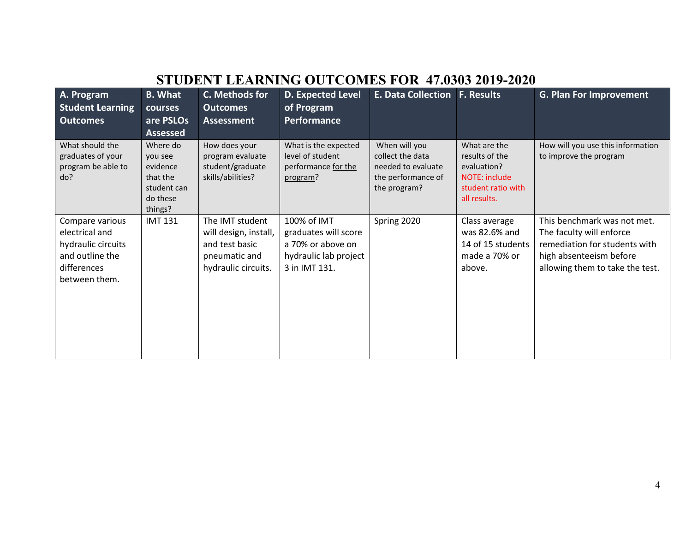| STUDENT LEARNING OUTCOMES FOR 47.0303 2019-2020                                                            |                                                                                   |                                                                                                    |                                                                                                    |                                                                                               |                                                                                                             |                                                                                                                                                        |  |  |  |  |  |
|------------------------------------------------------------------------------------------------------------|-----------------------------------------------------------------------------------|----------------------------------------------------------------------------------------------------|----------------------------------------------------------------------------------------------------|-----------------------------------------------------------------------------------------------|-------------------------------------------------------------------------------------------------------------|--------------------------------------------------------------------------------------------------------------------------------------------------------|--|--|--|--|--|
| A. Program<br><b>Student Learning</b><br><b>Outcomes</b>                                                   | <b>B.</b> What<br>courses<br>are PSLOs<br><b>Assessed</b>                         | C. Methods for<br><b>Outcomes</b><br><b>Assessment</b>                                             | <b>D. Expected Level</b><br>of Program<br>Performance                                              | <b>E. Data Collection F. Results</b>                                                          |                                                                                                             | G. Plan For Improvement                                                                                                                                |  |  |  |  |  |
| What should the<br>graduates of your<br>program be able to<br>do?                                          | Where do<br>you see<br>evidence<br>that the<br>student can<br>do these<br>things? | How does your<br>program evaluate<br>student/graduate<br>skills/abilities?                         | What is the expected<br>level of student<br>performance for the<br>program?                        | When will you<br>collect the data<br>needed to evaluate<br>the performance of<br>the program? | What are the<br>results of the<br>evaluation?<br><b>NOTE: include</b><br>student ratio with<br>all results. | How will you use this information<br>to improve the program                                                                                            |  |  |  |  |  |
| Compare various<br>electrical and<br>hydraulic circuits<br>and outline the<br>differences<br>between them. | <b>IMT 131</b>                                                                    | The IMT student<br>will design, install,<br>and test basic<br>pneumatic and<br>hydraulic circuits. | 100% of IMT<br>graduates will score<br>a 70% or above on<br>hydraulic lab project<br>3 in IMT 131. | Spring 2020                                                                                   | Class average<br>was 82.6% and<br>14 of 15 students<br>made a 70% or<br>above.                              | This benchmark was not met.<br>The faculty will enforce<br>remediation for students with<br>high absenteeism before<br>allowing them to take the test. |  |  |  |  |  |

### **STUDENT LEARNING OUTCOMES FOR 47.0303 2019-2020**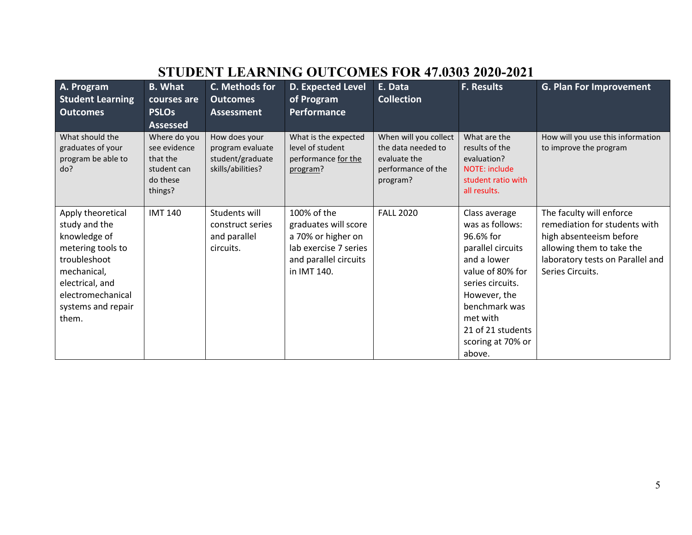# **STUDENT LEARNING OUTCOMES FOR 47.0303 2020-2021**

| A. Program<br><b>Student Learning</b><br><b>Outcomes</b>                                                                                                                      | <b>B.</b> What<br>courses are<br><b>PSLOs</b><br><b>Assessed</b>               | C. Methods for<br><b>Outcomes</b><br><b>Assessment</b>                     | <b>D. Expected Level</b><br>of Program<br><b>Performance</b>                                                               | E. Data<br><b>Collection</b>                                                                  | <b>F. Results</b>                                                                                                                                                                                                          | <b>G. Plan For Improvement</b>                                                                                                                                            |
|-------------------------------------------------------------------------------------------------------------------------------------------------------------------------------|--------------------------------------------------------------------------------|----------------------------------------------------------------------------|----------------------------------------------------------------------------------------------------------------------------|-----------------------------------------------------------------------------------------------|----------------------------------------------------------------------------------------------------------------------------------------------------------------------------------------------------------------------------|---------------------------------------------------------------------------------------------------------------------------------------------------------------------------|
| What should the<br>graduates of your<br>program be able to<br>do?                                                                                                             | Where do you<br>see evidence<br>that the<br>student can<br>do these<br>things? | How does your<br>program evaluate<br>student/graduate<br>skills/abilities? | What is the expected<br>level of student<br>performance for the<br>program?                                                | When will you collect<br>the data needed to<br>evaluate the<br>performance of the<br>program? | What are the<br>results of the<br>evaluation?<br><b>NOTE: include</b><br>student ratio with<br>all results.                                                                                                                | How will you use this information<br>to improve the program                                                                                                               |
| Apply theoretical<br>study and the<br>knowledge of<br>metering tools to<br>troubleshoot<br>mechanical,<br>electrical, and<br>electromechanical<br>systems and repair<br>them. | <b>IMT 140</b>                                                                 | Students will<br>construct series<br>and parallel<br>circuits.             | 100% of the<br>graduates will score<br>a 70% or higher on<br>lab exercise 7 series<br>and parallel circuits<br>in IMT 140. | <b>FALL 2020</b>                                                                              | Class average<br>was as follows:<br>96.6% for<br>parallel circuits<br>and a lower<br>value of 80% for<br>series circuits.<br>However, the<br>benchmark was<br>met with<br>21 of 21 students<br>scoring at 70% or<br>above. | The faculty will enforce<br>remediation for students with<br>high absenteeism before<br>allowing them to take the<br>laboratory tests on Parallel and<br>Series Circuits. |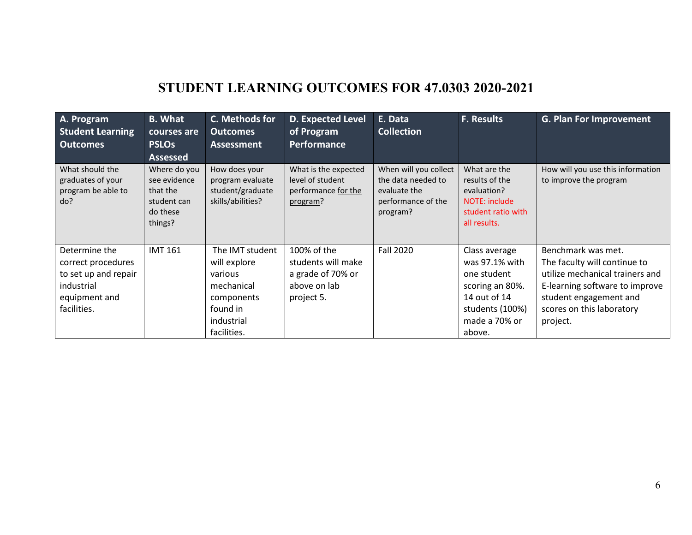### **STUDENT LEARNING OUTCOMES FOR 47.0303 2020-2021**

| A. Program<br><b>Student Learning</b><br><b>Outcomes</b>                                                  | <b>B.</b> What<br>courses are<br><b>PSLOs</b><br><b>Assessed</b>               | C. Methods for<br><b>Outcomes</b><br><b>Assessment</b>                                                          | <b>D. Expected Level</b><br>of Program<br>Performance                                | E. Data<br><b>Collection</b>                                                                  | <b>F. Results</b>                                                                                                               | <b>G. Plan For Improvement</b>                                                                                                                                                             |
|-----------------------------------------------------------------------------------------------------------|--------------------------------------------------------------------------------|-----------------------------------------------------------------------------------------------------------------|--------------------------------------------------------------------------------------|-----------------------------------------------------------------------------------------------|---------------------------------------------------------------------------------------------------------------------------------|--------------------------------------------------------------------------------------------------------------------------------------------------------------------------------------------|
| What should the<br>graduates of your<br>program be able to<br>do?                                         | Where do you<br>see evidence<br>that the<br>student can<br>do these<br>things? | How does your<br>program evaluate<br>student/graduate<br>skills/abilities?                                      | What is the expected<br>level of student<br>performance for the<br>program?          | When will you collect<br>the data needed to<br>evaluate the<br>performance of the<br>program? | What are the<br>results of the<br>evaluation?<br>NOTE: include<br>student ratio with<br>all results.                            | How will you use this information<br>to improve the program                                                                                                                                |
| Determine the<br>correct procedures<br>to set up and repair<br>industrial<br>equipment and<br>facilities. | <b>IMT 161</b>                                                                 | The IMT student<br>will explore<br>various<br>mechanical<br>components<br>found in<br>industrial<br>facilities. | 100% of the<br>students will make<br>a grade of 70% or<br>above on lab<br>project 5. | <b>Fall 2020</b>                                                                              | Class average<br>was 97.1% with<br>one student<br>scoring an 80%.<br>14 out of 14<br>students (100%)<br>made a 70% or<br>above. | Benchmark was met.<br>The faculty will continue to<br>utilize mechanical trainers and<br>E-learning software to improve<br>student engagement and<br>scores on this laboratory<br>project. |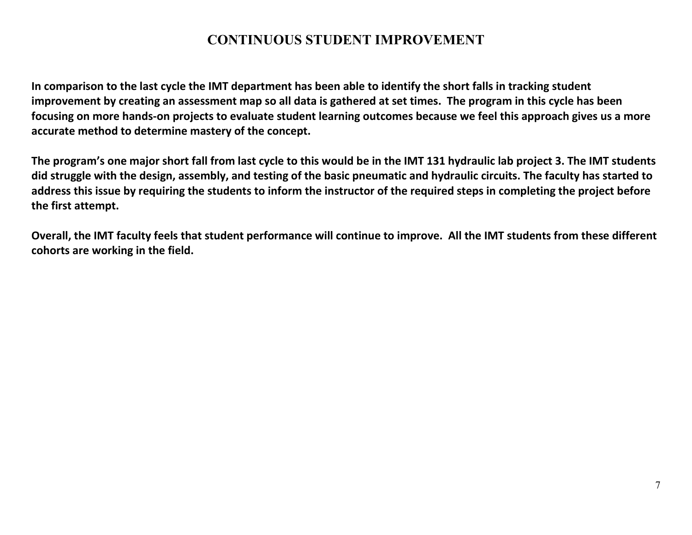### **CONTINUOUS STUDENT IMPROVEMENT**

**In comparison to the last cycle the IMT department has been able to identify the short falls in tracking student improvement by creating an assessment map so all data is gathered at set times. The program in this cycle has been focusing on more hands-on projects to evaluate student learning outcomes because we feel this approach gives us a more accurate method to determine mastery of the concept.** 

**The program's one major short fall from last cycle to this would be in the IMT 131 hydraulic lab project 3. The IMT students did struggle with the design, assembly, and testing of the basic pneumatic and hydraulic circuits. The faculty has started to address this issue by requiring the students to inform the instructor of the required steps in completing the project before the first attempt.**

**Overall, the IMT faculty feels that student performance will continue to improve. All the IMT students from these different cohorts are working in the field.**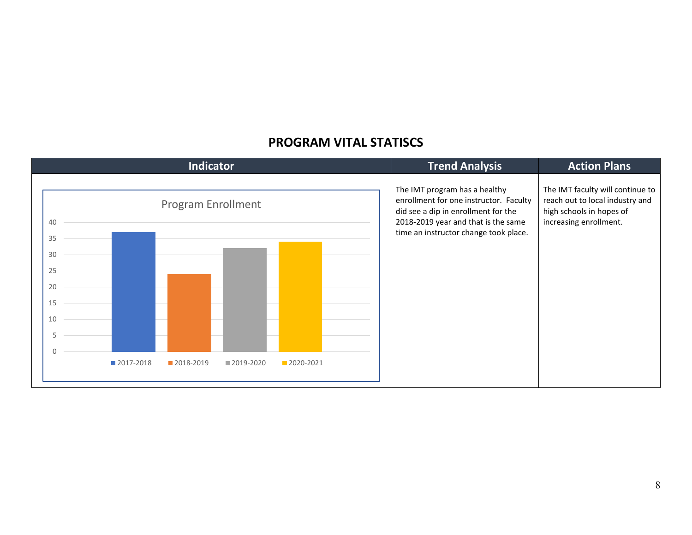

#### **PROGRAM VITAL STATISCS**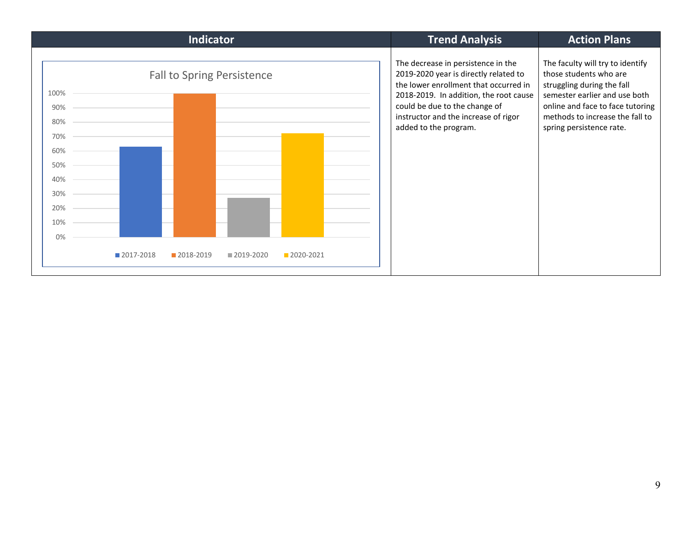| <b>Indicator</b>                                                                           |  |  |  |  |  |  |  | <b>Trend Analysis</b> | <b>Action Plans</b>                                                                                                                                                                                                                                              |                                                                                                                                                                                                                              |  |  |
|--------------------------------------------------------------------------------------------|--|--|--|--|--|--|--|-----------------------|------------------------------------------------------------------------------------------------------------------------------------------------------------------------------------------------------------------------------------------------------------------|------------------------------------------------------------------------------------------------------------------------------------------------------------------------------------------------------------------------------|--|--|
| <b>Fall to Spring Persistence</b><br>100%<br>90%<br>80%<br>70%<br>60%<br>50%<br>40%<br>30% |  |  |  |  |  |  |  |                       | The decrease in persistence in the<br>2019-2020 year is directly related to<br>the lower enrollment that occurred in<br>2018-2019. In addition, the root cause<br>could be due to the change of<br>instructor and the increase of rigor<br>added to the program. | The faculty will try to identify<br>those students who are<br>struggling during the fall<br>semester earlier and use both<br>online and face to face tutoring<br>methods to increase the fall to<br>spring persistence rate. |  |  |
| 20%                                                                                        |  |  |  |  |  |  |  |                       |                                                                                                                                                                                                                                                                  |                                                                                                                                                                                                                              |  |  |
| 10%                                                                                        |  |  |  |  |  |  |  |                       |                                                                                                                                                                                                                                                                  |                                                                                                                                                                                                                              |  |  |
| 0%                                                                                         |  |  |  |  |  |  |  |                       |                                                                                                                                                                                                                                                                  |                                                                                                                                                                                                                              |  |  |
| 2017-2018<br>2018-2019<br>2020-2021<br>2019-2020                                           |  |  |  |  |  |  |  |                       |                                                                                                                                                                                                                                                                  |                                                                                                                                                                                                                              |  |  |
|                                                                                            |  |  |  |  |  |  |  |                       |                                                                                                                                                                                                                                                                  |                                                                                                                                                                                                                              |  |  |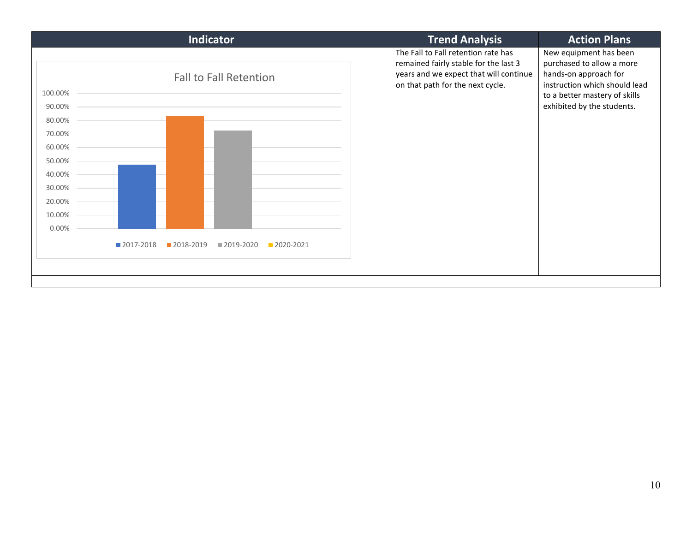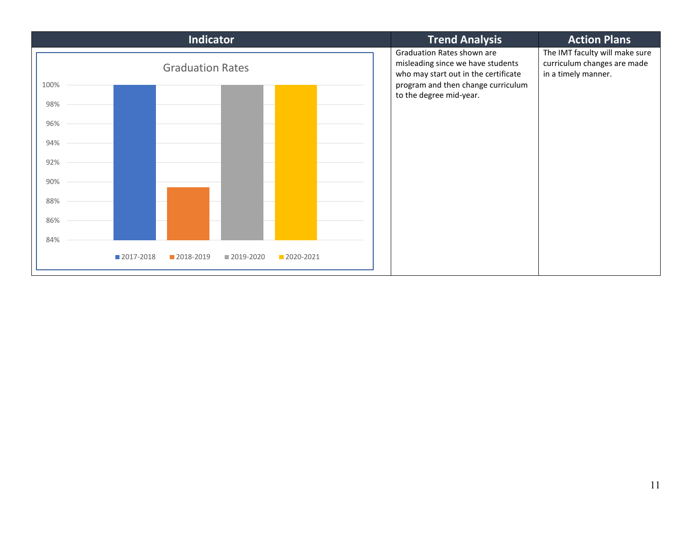